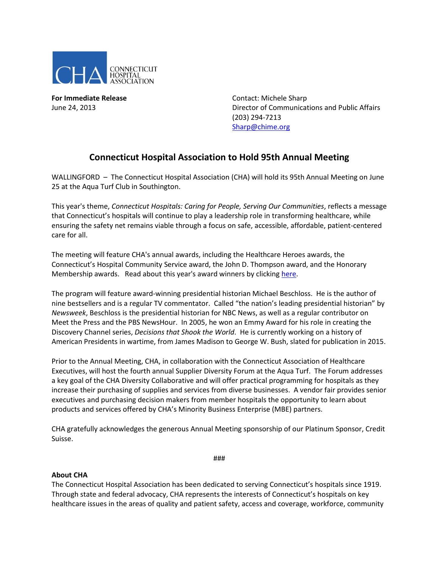

**For Immediate Release Contact: Michele Sharp** 

June 24, 2013 Director of Communications and Public Affairs (203) 294-7213 [Sharp@chime.org](mailto:Sharp@chime.org)

## **Connecticut Hospital Association to Hold 95th Annual Meeting**

WALLINGFORD - The Connecticut Hospital Association (CHA) will hold its 95th Annual Meeting on June 25 at the Aqua Turf Club in Southington.

This year's theme, *Connecticut Hospitals: Caring for People, Serving Our Communities*, reflects a message that Connecticut's hospitals will continue to play a leadership role in transforming healthcare, while ensuring the safety net remains viable through a focus on safe, accessible, affordable, patient-centered care for all.

The meeting will feature CHA's annual awards, including the Healthcare Heroes awards, the Connecticut's Hospital Community Service award, the John D. Thompson award, and the Honorary Membership awards. Read about this year's award winners by clickin[g here.](http://www.cthosp.org/CHA/assets/file/newsroom/publications/update/061313.pdf)

The program will feature award-winning presidential historian Michael Beschloss. He is the author of nine bestsellers and is a regular TV commentator. Called "the nation's leading presidential historian" by *Newsweek*, Beschloss is the presidential historian for NBC News, as well as a regular contributor on Meet the Press and the PBS NewsHour. In 2005, he won an Emmy Award for his role in creating the Discovery Channel series, *Decisions that Shook the World*. He is currently working on a history of American Presidents in wartime, from James Madison to George W. Bush, slated for publication in 2015.

Prior to the Annual Meeting, CHA, in collaboration with the Connecticut Association of Healthcare Executives, will host the fourth annual Supplier Diversity Forum at the Aqua Turf. The Forum addresses a key goal of the CHA Diversity Collaborative and will offer practical programming for hospitals as they increase their purchasing of supplies and services from diverse businesses. A vendor fair provides senior executives and purchasing decision makers from member hospitals the opportunity to learn about products and services offered by CHA's Minority Business Enterprise (MBE) partners.

CHA gratefully acknowledges the generous Annual Meeting sponsorship of our Platinum Sponsor, Credit Suisse.

###

## **About CHA**

The Connecticut Hospital Association has been dedicated to serving Connecticut's hospitals since 1919. Through state and federal advocacy, CHA represents the interests of Connecticut's hospitals on key healthcare issues in the areas of quality and patient safety, access and coverage, workforce, community